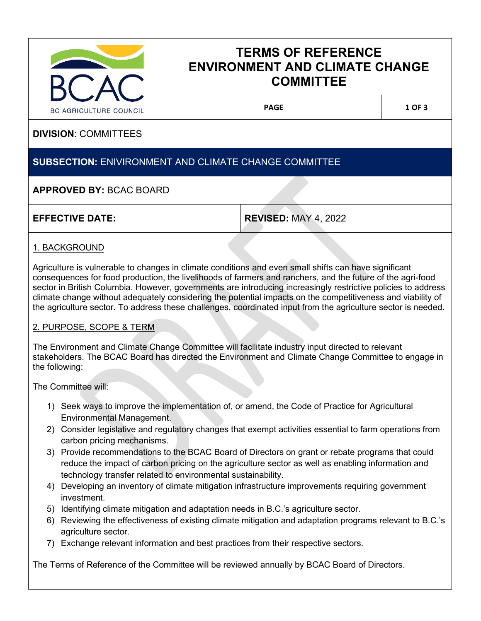

# **TERMS OF REFERENCE ENVIRONMENT AND CLIMATE CHANGE COMMITTEE**

PAGE 1 OF 3

# **DIVISION**: COMMITTEES

# **SUBSECTION:** ENIVIRONMENT AND CLIMATE CHANGE COMMITTEE

# **APPROVED BY:** BCAC BOARD

**EFFECTIVE DATE: REVISED:** MAY 4, 2022

# 1. BACKGROUND

Agriculture is vulnerable to changes in climate conditions and even small shifts can have significant consequences for food production, the livelihoods of farmers and ranchers, and the future of the agri-food sector in British Columbia. However, governments are introducing increasingly restrictive policies to address climate change without adequately considering the potential impacts on the competitiveness and viability of the agriculture sector. To address these challenges, coordinated input from the agriculture sector is needed.

## 2. PURPOSE, SCOPE & TERM

The Environment and Climate Change Committee will facilitate industry input directed to relevant stakeholders. The BCAC Board has directed the Environment and Climate Change Committee to engage in the following:

The Committee will:

- 1) Seek ways to improve the implementation of, or amend, the Code of Practice for Agricultural Environmental Management.
- 2) Consider legislative and regulatory changes that exempt activities essential to farm operations from carbon pricing mechanisms.
- 3) Provide recommendations to the BCAC Board of Directors on grant or rebate programs that could reduce the impact of carbon pricing on the agriculture sector as well as enabling information and technology transfer related to environmental sustainability.
- 4) Developing an inventory of climate mitigation infrastructure improvements requiring government investment.
- 5) Identifying climate mitigation and adaptation needs in B.C.'s agriculture sector.
- 6) Reviewing the effectiveness of existing climate mitigation and adaptation programs relevant to B.C.'s agriculture sector.
- 7) Exchange relevant information and best practices from their respective sectors.

The Terms of Reference of the Committee will be reviewed annually by BCAC Board of Directors.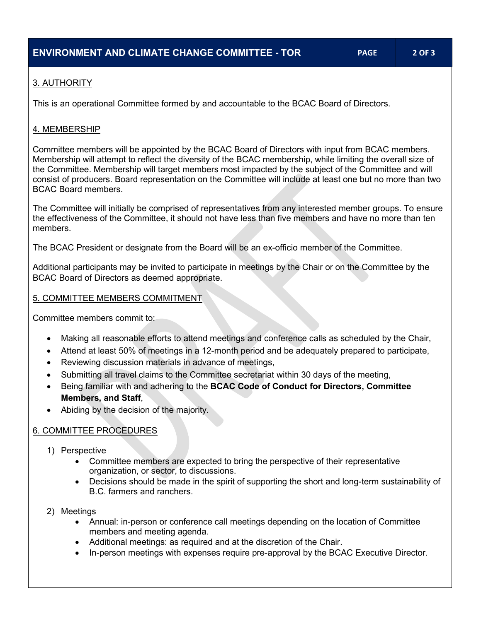# 3. AUTHORITY

This is an operational Committee formed by and accountable to the BCAC Board of Directors.

## 4. MEMBERSHIP

Committee members will be appointed by the BCAC Board of Directors with input from BCAC members. Membership will attempt to reflect the diversity of the BCAC membership, while limiting the overall size of the Committee. Membership will target members most impacted by the subject of the Committee and will consist of producers. Board representation on the Committee will include at least one but no more than two BCAC Board members.

The Committee will initially be comprised of representatives from any interested member groups. To ensure the effectiveness of the Committee, it should not have less than five members and have no more than ten members.

The BCAC President or designate from the Board will be an ex-officio member of the Committee.

Additional participants may be invited to participate in meetings by the Chair or on the Committee by the BCAC Board of Directors as deemed appropriate.

## 5. COMMITTEE MEMBERS COMMITMENT

Committee members commit to:

- Making all reasonable efforts to attend meetings and conference calls as scheduled by the Chair,
- Attend at least 50% of meetings in a 12-month period and be adequately prepared to participate,
- Reviewing discussion materials in advance of meetings,
- Submitting all travel claims to the Committee secretariat within 30 days of the meeting,
- Being familiar with and adhering to the **BCAC Code of Conduct for Directors, Committee Members, and Staff**,
- Abiding by the decision of the majority.

## 6. COMMITTEE PROCEDURES

- 1) Perspective
	- Committee members are expected to bring the perspective of their representative organization, or sector, to discussions.
	- Decisions should be made in the spirit of supporting the short and long-term sustainability of B.C. farmers and ranchers.
- 2) Meetings
	- Annual: in-person or conference call meetings depending on the location of Committee members and meeting agenda.
	- Additional meetings: as required and at the discretion of the Chair.
	- In-person meetings with expenses require pre-approval by the BCAC Executive Director.